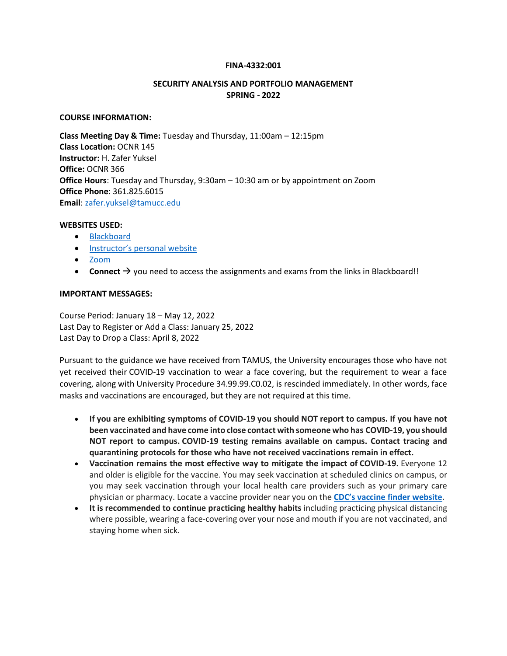#### **FINA-4332:001**

## **SECURITY ANALYSIS AND PORTFOLIO MANAGEMENT SPRING - 2022**

#### **COURSE INFORMATION:**

**Class Meeting Day & Time:** Tuesday and Thursday, 11:00am – 12:15pm **Class Location:** OCNR 145 **Instructor:** H. Zafer Yuksel **Office:** OCNR 366 **Office Hours**: Tuesday and Thursday, 9:30am – 10:30 am or by appointment on Zoom **Office Phone**: 361.825.6015 **Email**[: zafer.yuksel@tamucc.edu](mailto:zafer.yuksel@tamucc.edu)

#### **WEBSITES USED:**

- [Blackboard](https://bb9.tamucc.edu/)
- Ins[tructor's personal website](http://www.zaferyuksel.com/)
- [Zoom](https://tamucc.webex.com/)
- **Connect**  $\rightarrow$  you need to access the assignments and exams from the links in Blackboard!!

#### **IMPORTANT MESSAGES:**

Course Period: January 18 – May 12, 2022 Last Day to Register or Add a Class: January 25, 2022 Last Day to Drop a Class: April 8, 2022

Pursuant to the guidance we have received from TAMUS, the University encourages those who have not yet received their COVID-19 vaccination to wear a face covering, but the requirement to wear a face covering, along with University Procedure 34.99.99.C0.02, is rescinded immediately. In other words, face masks and vaccinations are encouraged, but they are not required at this time.

- **If you are exhibiting symptoms of COVID-19 you should NOT report to campus. If you have not been vaccinated and have come into close contact with someone who has COVID-19, you should NOT report to campus. COVID-19 testing remains available on campus. Contact tracing and quarantining protocols for those who have not received vaccinations remain in effect.**
- **Vaccination remains the most effective way to mitigate the impact of COVID-19.** Everyone 12 and older is eligible for the vaccine. You may seek vaccination at scheduled clinics on campus, or you may seek vaccination through your local health care providers such as your primary care physician or pharmacy. Locate a vaccine provider near you on the **CDC's vaccine finder [website](https://nam12.safelinks.protection.outlook.com/?url=https%3A%2F%2Fwww.vaccines.gov%2Fsearch%2F&data=04%7C01%7CZafer.Yuksel%40tamucc.edu%7C1e6c2efae45841da652f08d93a51172f%7C34cbfaf167a64781a9ca514eb2550b66%7C0%7C0%7C637604942224961914%7CUnknown%7CTWFpbGZsb3d8eyJWIjoiMC4wLjAwMDAiLCJQIjoiV2luMzIiLCJBTiI6Ik1haWwiLCJXVCI6Mn0%3D%7C1000&sdata=CaTFvKs%2B1diE4EdjmRMKYrShe4BoGtW6fX0qx228awk%3D&reserved=0)**.
- **It is recommended to continue practicing healthy habits** including practicing physical distancing where possible, wearing a face-covering over your nose and mouth if you are not vaccinated, and staying home when sick.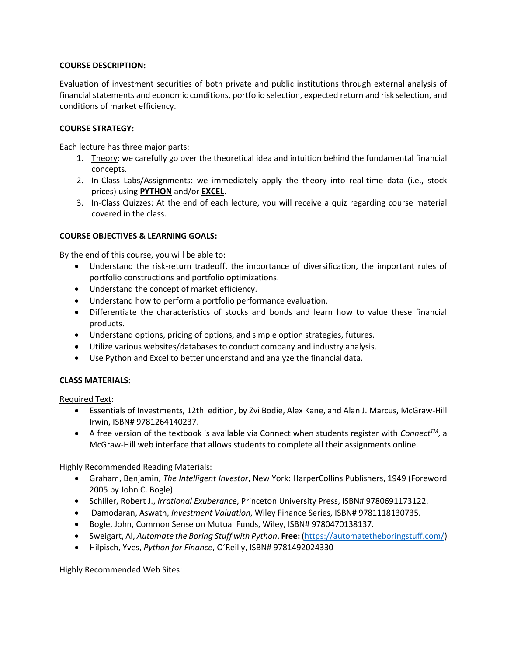## **COURSE DESCRIPTION:**

Evaluation of investment securities of both private and public institutions through external analysis of financial statements and economic conditions, portfolio selection, expected return and risk selection, and conditions of market efficiency.

## **COURSE STRATEGY:**

Each lecture has three major parts:

- 1. Theory: we carefully go over the theoretical idea and intuition behind the fundamental financial concepts.
- 2. In-Class Labs/Assignments: we immediately apply the theory into real-time data (i.e., stock prices) using **PYTHON** and/or **EXCEL**.
- 3. In-Class Quizzes: At the end of each lecture, you will receive a quiz regarding course material covered in the class.

# **COURSE OBJECTIVES & LEARNING GOALS:**

By the end of this course, you will be able to:

- Understand the risk-return tradeoff, the importance of diversification, the important rules of portfolio constructions and portfolio optimizations.
- Understand the concept of market efficiency.
- Understand how to perform a portfolio performance evaluation.
- Differentiate the characteristics of stocks and bonds and learn how to value these financial products.
- Understand options, pricing of options, and simple option strategies, futures.
- Utilize various websites/databases to conduct company and industry analysis.
- Use Python and Excel to better understand and analyze the financial data.

# **CLASS MATERIALS:**

Required Text:

- Essentials of Investments, 12th edition, by Zvi Bodie, Alex Kane, and Alan J. Marcus, McGraw-Hill Irwin, ISBN# 9781264140237.
- A free version of the textbook is available via Connect when students register with *ConnectTM*, a McGraw-Hill web interface that allows students to complete all their assignments online.

Highly Recommended Reading Materials:

- Graham, Benjamin, *The Intelligent Investor*, New York: HarperCollins Publishers, 1949 (Foreword 2005 by John C. Bogle).
- Schiller, Robert J., *Irrational Exuberance*, Princeton University Press, ISBN# 9780691173122.
- Damodaran, Aswath, *Investment Valuation*, Wiley Finance Series, ISBN# 9781118130735.
- Bogle, John, Common Sense on Mutual Funds, Wiley, ISBN# 9780470138137.
- Sweigart, Al, *Automate the Boring Stuff with Python*, **Free:** [\(https://automatetheboringstuff.com/\)](https://automatetheboringstuff.com/)
- Hilpisch, Yves, *Python for Finance*, O'Reilly, ISBN# 9781492024330

Highly Recommended Web Sites: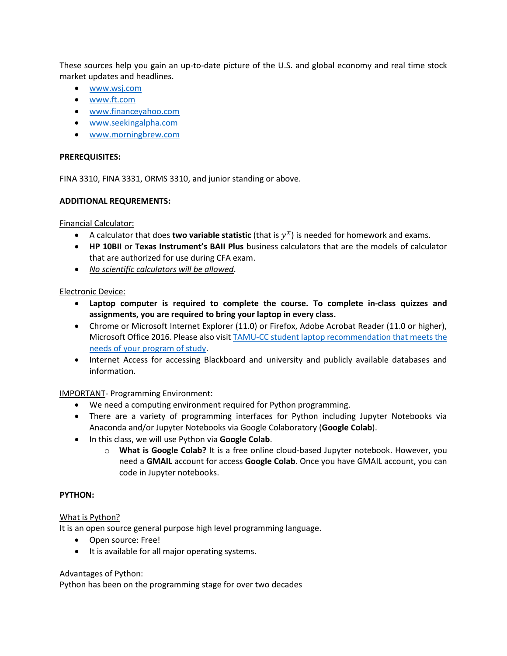These sources help you gain an up-to-date picture of the U.S. and global economy and real time stock market updates and headlines.

- [www.wsj.com](http://www.wsj.com/)
- [www.ft.com](http://www.ft.com/)
- [www.financeyahoo.com](http://www.financeyahoo.com/)
- [www.seekingalpha.com](http://www.seekingalpha.com/)
- [www.morningbrew.com](http://www.morningbrew.com/)

#### **PREREQUISITES:**

FINA 3310, FINA 3331, ORMS 3310, and junior standing or above.

#### **ADDITIONAL REQUREMENTS:**

#### Financial Calculator:

- A calculator that does **two variable statistic** (that is  $y^x$ ) is needed for homework and exams.
- **HP 10BII** or **Texas Instrument's BAII Plus** business calculators that are the models of calculator that are authorized for use during CFA exam.
- *No scientific calculators will be allowed*.

## Electronic Device:

- **Laptop computer is required to complete the course. To complete in-class quizzes and assignments, you are required to bring your laptop in every class.**
- Chrome or Microsoft Internet Explorer (11.0) or Firefox, Adobe Acrobat Reader (11.0 or higher), Microsoft Office 2016. Please also visi[t TAMU-CC student laptop recommendation that meets the](https://it.tamucc.edu/getstarted/studentlaptoprecommendations.html)  [needs of your program of study.](https://it.tamucc.edu/getstarted/studentlaptoprecommendations.html)
- Internet Access for accessing Blackboard and university and publicly available databases and information.

## IMPORTANT- Programming Environment:

- We need a computing environment required for Python programming.
- There are a variety of programming interfaces for Python including Jupyter Notebooks via Anaconda and/or Jupyter Notebooks via Google Colaboratory (**Google Colab**).
- In this class, we will use Python via **Google Colab**.
	- o **What is Google Colab?** It is a free online cloud-based Jupyter notebook. However, you need a **GMAIL** account for access **Google Colab**. Once you have GMAIL account, you can code in Jupyter notebooks.

## **PYTHON:**

## What is Python?

It is an open source general purpose high level programming language.

- Open source: Free!
- It is available for all major operating systems.

#### Advantages of Python:

Python has been on the programming stage for over two decades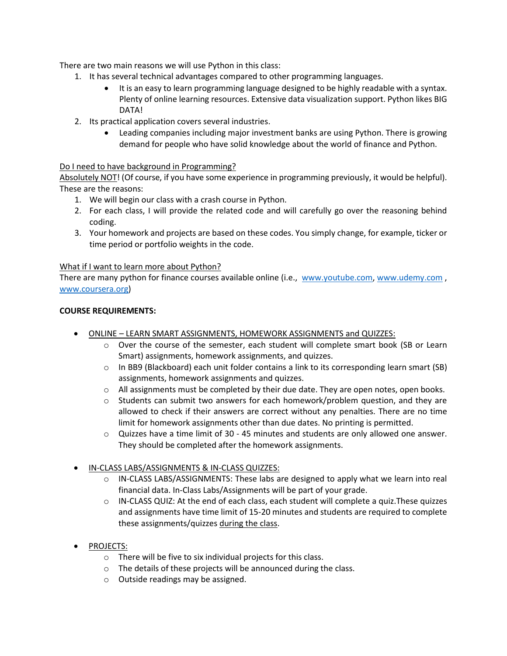There are two main reasons we will use Python in this class:

- 1. It has several technical advantages compared to other programming languages.
	- It is an easy to learn programming language designed to be highly readable with a syntax. Plenty of online learning resources. Extensive data visualization support. Python likes BIG DATA!
- 2. Its practical application covers several industries.
	- Leading companies including major investment banks are using Python. There is growing demand for people who have solid knowledge about the world of finance and Python.

# Do I need to have background in Programming?

Absolutely NOT! (Of course, if you have some experience in programming previously, it would be helpful). These are the reasons:

- 1. We will begin our class with a crash course in Python.
- 2. For each class, I will provide the related code and will carefully go over the reasoning behind coding.
- 3. Your homework and projects are based on these codes. You simply change, for example, ticker or time period or portfolio weights in the code.

## What if I want to learn more about Python?

There are many python for finance courses available online (i.e., [www.youtube.com,](http://www.youtube.com/) [www.udemy.com](http://www.udemy.com/) , [www.coursera.org\)](http://www.coursera.org/)

#### **COURSE REQUIREMENTS:**

- ONLINE LEARN SMART ASSIGNMENTS, HOMEWORK ASSIGNMENTS and QUIZZES:
	- o Over the course of the semester, each student will complete smart book (SB or Learn Smart) assignments, homework assignments, and quizzes.
	- $\circ$  In BB9 (Blackboard) each unit folder contains a link to its corresponding learn smart (SB) assignments, homework assignments and quizzes.
	- o All assignments must be completed by their due date. They are open notes, open books.
	- $\circ$  Students can submit two answers for each homework/problem question, and they are allowed to check if their answers are correct without any penalties. There are no time limit for homework assignments other than due dates. No printing is permitted.
	- o Quizzes have a time limit of 30 45 minutes and students are only allowed one answer. They should be completed after the homework assignments.
- IN-CLASS LABS/ASSIGNMENTS & IN-CLASS QUIZZES:
	- $\circ$  IN-CLASS LABS/ASSIGNMENTS: These labs are designed to apply what we learn into real financial data. In-Class Labs/Assignments will be part of your grade.
	- o IN-CLASS QUIZ: At the end of each class, each student will complete a quiz.These quizzes and assignments have time limit of 15-20 minutes and students are required to complete these assignments/quizzes during the class.
- PROJECTS:
	- o There will be five to six individual projects for this class.
	- o The details of these projects will be announced during the class.
	- o Outside readings may be assigned.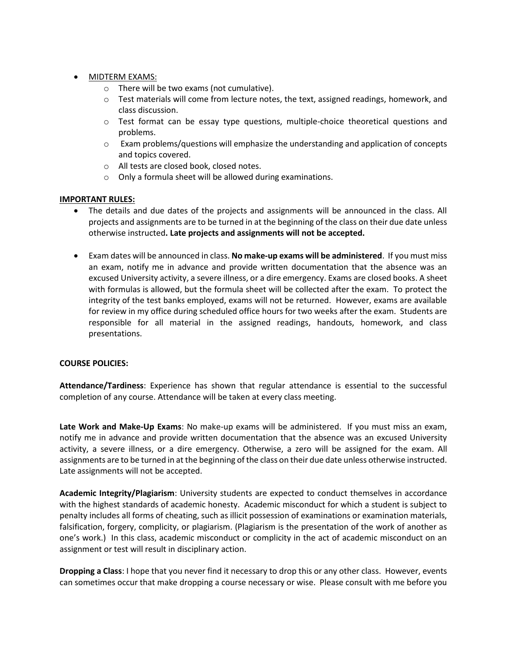- MIDTERM EXAMS:
	- o There will be two exams (not cumulative).
	- $\circ$  Test materials will come from lecture notes, the text, assigned readings, homework, and class discussion.
	- o Test format can be essay type questions, multiple-choice theoretical questions and problems.
	- $\circ$  Exam problems/questions will emphasize the understanding and application of concepts and topics covered.
	- o All tests are closed book, closed notes.
	- o Only a formula sheet will be allowed during examinations.

## **IMPORTANT RULES:**

- The details and due dates of the projects and assignments will be announced in the class. All projects and assignments are to be turned in at the beginning of the class on their due date unless otherwise instructed**. Late projects and assignments will not be accepted.**
- Exam dates will be announced in class. **No make-up exams will be administered**. If you must miss an exam, notify me in advance and provide written documentation that the absence was an excused University activity, a severe illness, or a dire emergency. Exams are closed books. A sheet with formulas is allowed, but the formula sheet will be collected after the exam. To protect the integrity of the test banks employed, exams will not be returned. However, exams are available for review in my office during scheduled office hours for two weeks after the exam. Students are responsible for all material in the assigned readings, handouts, homework, and class presentations.

## **COURSE POLICIES:**

**Attendance/Tardiness**: Experience has shown that regular attendance is essential to the successful completion of any course. Attendance will be taken at every class meeting.

**Late Work and Make-Up Exams**: No make-up exams will be administered. If you must miss an exam, notify me in advance and provide written documentation that the absence was an excused University activity, a severe illness, or a dire emergency. Otherwise, a zero will be assigned for the exam. All assignments are to be turned in at the beginning of the class on their due date unless otherwise instructed. Late assignments will not be accepted.

**Academic Integrity/Plagiarism**: University students are expected to conduct themselves in accordance with the highest standards of academic honesty. Academic misconduct for which a student is subject to penalty includes all forms of cheating, such as illicit possession of examinations or examination materials, falsification, forgery, complicity, or plagiarism. (Plagiarism is the presentation of the work of another as one's work.) In this class, academic misconduct or complicity in the act of academic misconduct on an assignment or test will result in disciplinary action.

**Dropping a Class**: I hope that you never find it necessary to drop this or any other class. However, events can sometimes occur that make dropping a course necessary or wise. Please consult with me before you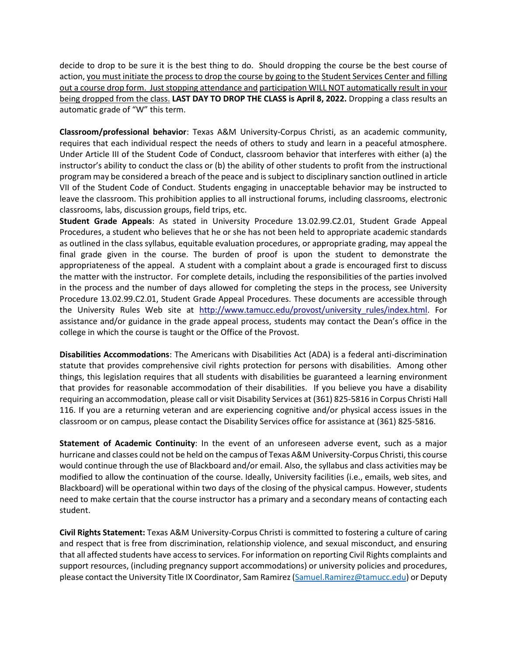decide to drop to be sure it is the best thing to do. Should dropping the course be the best course of action, you must initiate the process to drop the course by going to the Student Services Center and filling out a course drop form. Just stopping attendance and participation WILL NOT automatically result in your being dropped from the class. **LAST DAY TO DROP THE CLASS is April 8, 2022.** Dropping a class results an automatic grade of "W" this term.

**Classroom/professional behavior**: Texas A&M University-Corpus Christi, as an academic community, requires that each individual respect the needs of others to study and learn in a peaceful atmosphere. Under Article III of the Student Code of Conduct, classroom behavior that interferes with either (a) the instructor's ability to conduct the class or (b) the ability of other students to profit from the instructional program may be considered a breach of the peace and is subject to disciplinary sanction outlined in article VII of the Student Code of Conduct. Students engaging in unacceptable behavior may be instructed to leave the classroom. This prohibition applies to all instructional forums, including classrooms, electronic classrooms, labs, discussion groups, field trips, etc.

**Student Grade Appeals**: As stated in University Procedure 13.02.99.C2.01, Student Grade Appeal Procedures, a student who believes that he or she has not been held to appropriate academic standards as outlined in the class syllabus, equitable evaluation procedures, or appropriate grading, may appeal the final grade given in the course. The burden of proof is upon the student to demonstrate the appropriateness of the appeal. A student with a complaint about a grade is encouraged first to discuss the matter with the instructor. For complete details, including the responsibilities of the parties involved in the process and the number of days allowed for completing the steps in the process, see University Procedure 13.02.99.C2.01, Student Grade Appeal Procedures. These documents are accessible through the University Rules Web site at http://www.tamucc.edu/provost/university rules/index.html. For assistance and/or guidance in the grade appeal process, students may contact the Dean's office in the college in which the course is taught or the Office of the Provost.

**Disabilities Accommodations**: The Americans with Disabilities Act (ADA) is a federal anti-discrimination statute that provides comprehensive civil rights protection for persons with disabilities. Among other things, this legislation requires that all students with disabilities be guaranteed a learning environment that provides for reasonable accommodation of their disabilities. If you believe you have a disability requiring an accommodation, please call or visit Disability Services at (361) 825-5816 in Corpus Christi Hall 116. If you are a returning veteran and are experiencing cognitive and/or physical access issues in the classroom or on campus, please contact the Disability Services office for assistance at (361) 825-5816.

**Statement of Academic Continuity**: In the event of an unforeseen adverse event, such as a major hurricane and classes could not be held on the campus of Texas A&M University-Corpus Christi, this course would continue through the use of Blackboard and/or email. Also, the syllabus and class activities may be modified to allow the continuation of the course. Ideally, University facilities (i.e., emails, web sites, and Blackboard) will be operational within two days of the closing of the physical campus. However, students need to make certain that the course instructor has a primary and a secondary means of contacting each student.

**Civil Rights Statement:** Texas A&M University-Corpus Christi is committed to fostering a culture of caring and respect that is free from discrimination, relationship violence, and sexual misconduct, and ensuring that all affected students have access to services. For information on reporting Civil Rights complaints and support resources, (including pregnancy support accommodations) or university policies and procedures, please contact the University Title IX Coordinator, Sam Ramirez [\(Samuel.Ramirez@tamucc.edu\)](mailto:Samuel.Ramirez@tamucc.edu) or Deputy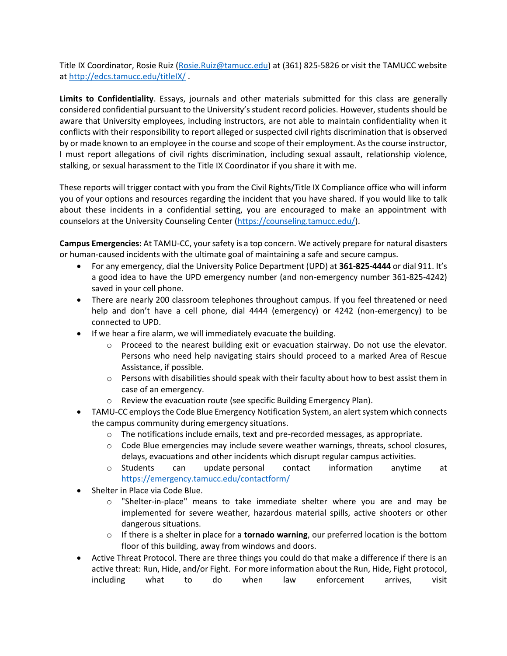Title IX Coordinator, Rosie Ruiz [\(Rosie.Ruiz@tamucc.edu\)](mailto:Rosie.Ruiz@tamucc.edu) at (361) 825-5826 or visit the TAMUCC website a[t http://edcs.tamucc.edu/titleIX/](http://edcs.tamucc.edu/titleIX/) .

**Limits to Confidentiality**. Essays, journals and other materials submitted for this class are generally considered confidential pursuant to the University's student record policies. However, students should be aware that University employees, including instructors, are not able to maintain confidentiality when it conflicts with their responsibility to report alleged or suspected civil rights discrimination that is observed by or made known to an employee in the course and scope of their employment. As the course instructor, I must report allegations of civil rights discrimination, including sexual assault, relationship violence, stalking, or sexual harassment to the Title IX Coordinator if you share it with me.

These reports will trigger contact with you from the Civil Rights/Title IX Compliance office who will inform you of your options and resources regarding the incident that you have shared. If you would like to talk about these incidents in a confidential setting, you are encouraged to make an appointment with counselors at the University Counseling Center [\(https://counseling.tamucc.edu/\)](https://counseling.tamucc.edu/).

**Campus Emergencies:** At TAMU-CC, your safety is a top concern. We actively prepare for natural disasters or human-caused incidents with the ultimate goal of maintaining a safe and secure campus.

- For any emergency, dial the University Police Department (UPD) at **361-825-4444** or dial 911. It's a good idea to have the UPD emergency number (and non-emergency number 361-825-4242) saved in your cell phone.
- There are nearly 200 classroom telephones throughout campus. If you feel threatened or need help and don't have a cell phone, dial 4444 (emergency) or 4242 (non-emergency) to be connected to UPD.
- If we hear a fire alarm, we will immediately evacuate the building.
	- o Proceed to the nearest building exit or evacuation stairway. Do not use the elevator. Persons who need help navigating stairs should proceed to a marked Area of Rescue Assistance, if possible.
	- $\circ$  Persons with disabilities should speak with their faculty about how to best assist them in case of an emergency.
	- o Review the evacuation route (see specific Building Emergency Plan).
- TAMU-CC employs the Code Blue Emergency Notification System, an alert system which connects the campus community during emergency situations.
	- $\circ$  The notifications include emails, text and pre-recorded messages, as appropriate.
	- o Code Blue emergencies may include severe weather warnings, threats, school closures, delays, evacuations and other incidents which disrupt regular campus activities.
	- o Students can update personal contact information anytime at <https://emergency.tamucc.edu/contactform/>
- Shelter in Place via Code Blue.
	- o "Shelter-in-place" means to take immediate shelter where you are and may be implemented for severe weather, hazardous material spills, active shooters or other dangerous situations.
	- o If there is a shelter in place for a **tornado warning**, our preferred location is the bottom floor of this building, away from windows and doors.
- Active Threat Protocol. There are three things you could do that make a difference if there is an active threat: Run, Hide, and/or Fight. For more information about the Run, Hide, Fight protocol, including what to do when law enforcement arrives, visit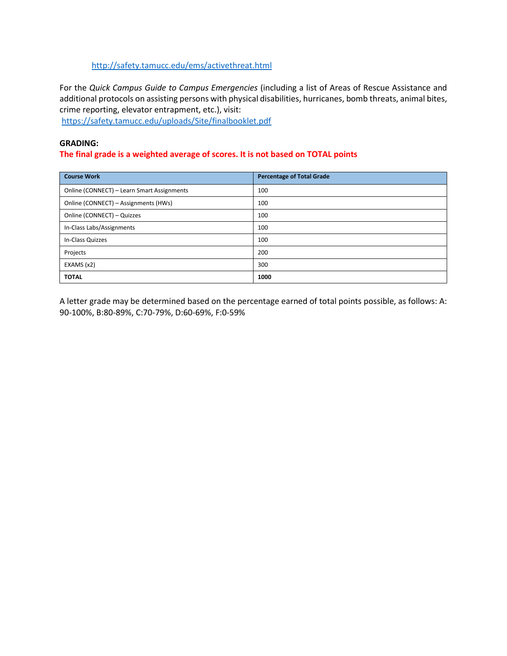## <http://safety.tamucc.edu/ems/activethreat.html>

For the *Quick Campus Guide to Campus Emergencies* (including a list of Areas of Rescue Assistance and additional protocols on assisting persons with physical disabilities, hurricanes, bomb threats, animal bites, crime reporting, elevator entrapment, etc.), visit:

<https://safety.tamucc.edu/uploads/Site/finalbooklet.pdf>

# **GRADING:**

## **The final grade is a weighted average of scores. It is not based on TOTAL points**

| <b>Course Work</b>                         | <b>Percentage of Total Grade</b> |  |
|--------------------------------------------|----------------------------------|--|
| Online (CONNECT) - Learn Smart Assignments | 100                              |  |
| Online (CONNECT) - Assignments (HWs)       | 100                              |  |
| Online (CONNECT) - Quizzes                 | 100                              |  |
| In-Class Labs/Assignments                  | 100                              |  |
| In-Class Quizzes                           | 100                              |  |
| Projects                                   | 200                              |  |
| EXAMS (x2)                                 | 300                              |  |
| <b>TOTAL</b>                               | 1000                             |  |

A letter grade may be determined based on the percentage earned of total points possible, as follows: A: 90-100%, B:80-89%, C:70-79%, D:60-69%, F:0-59%